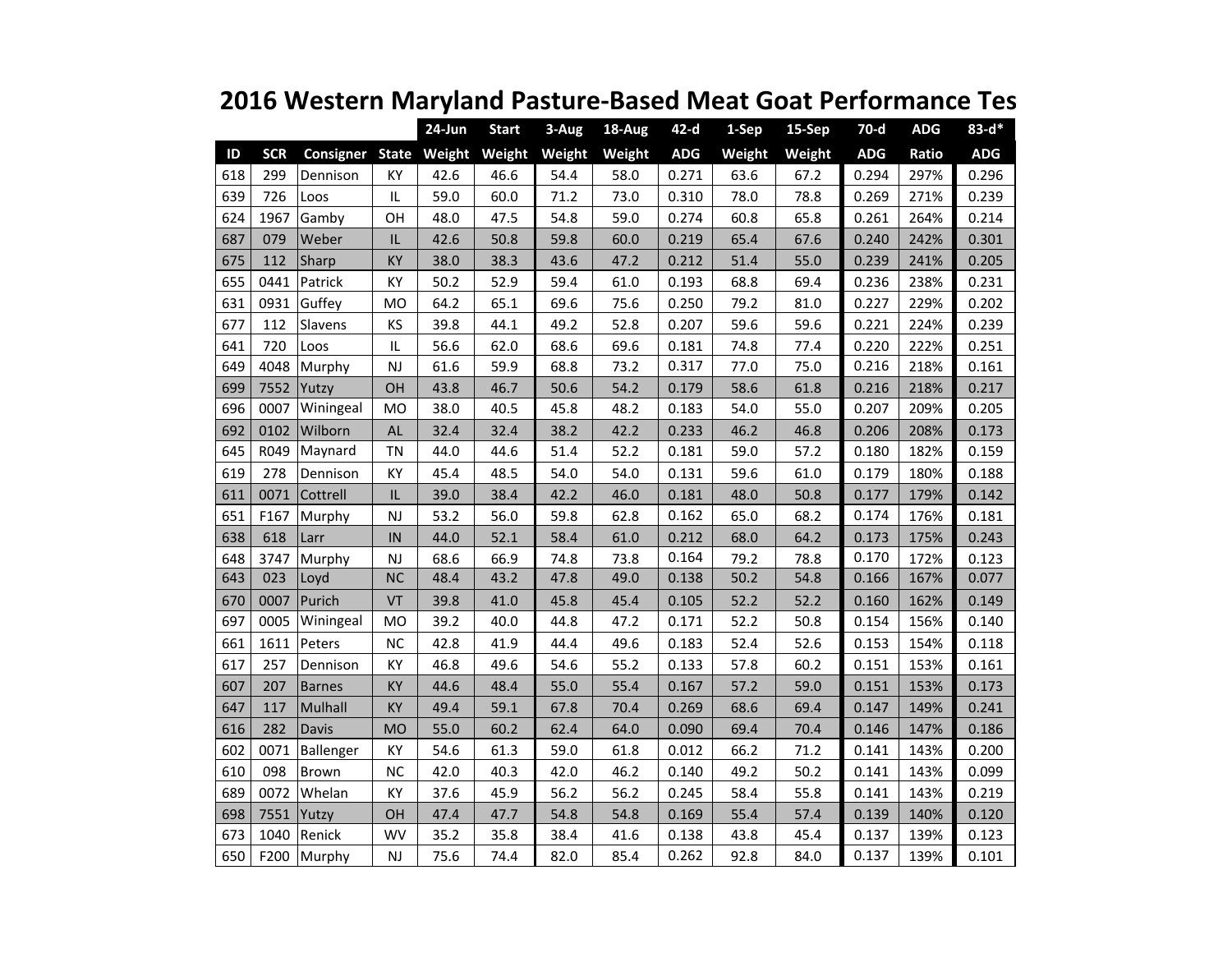|     |            |                               |               | 24-Jun | <b>Start</b> | 3-Aug  | 18-Aug | $42-d$     | 1-Sep  | 15-Sep | $70-d$     | <b>ADG</b> | $83 - d*$  |
|-----|------------|-------------------------------|---------------|--------|--------------|--------|--------|------------|--------|--------|------------|------------|------------|
| ID  | <b>SCR</b> | Consigner State Weight Weight |               |        |              | Weight | Weight | <b>ADG</b> | Weight | Weight | <b>ADG</b> | Ratio      | <b>ADG</b> |
| 618 | 299        | Dennison                      | KY            | 42.6   | 46.6         | 54.4   | 58.0   | 0.271      | 63.6   | 67.2   | 0.294      | 297%       | 0.296      |
| 639 | 726        | Loos                          | $\sf IL$      | 59.0   | 60.0         | 71.2   | 73.0   | 0.310      | 78.0   | 78.8   | 0.269      | 271%       | 0.239      |
| 624 | 1967       | Gamby                         | OH            | 48.0   | 47.5         | 54.8   | 59.0   | 0.274      | 60.8   | 65.8   | 0.261      | 264%       | 0.214      |
| 687 | 079        | Weber                         | IL            | 42.6   | 50.8         | 59.8   | 60.0   | 0.219      | 65.4   | 67.6   | 0.240      | 242%       | 0.301      |
| 675 | 112        | Sharp                         | KY            | 38.0   | 38.3         | 43.6   | 47.2   | 0.212      | 51.4   | 55.0   | 0.239      | 241%       | 0.205      |
| 655 | 0441       | Patrick                       | KY            | 50.2   | 52.9         | 59.4   | 61.0   | 0.193      | 68.8   | 69.4   | 0.236      | 238%       | 0.231      |
| 631 | 0931       | Guffey                        | <b>MO</b>     | 64.2   | 65.1         | 69.6   | 75.6   | 0.250      | 79.2   | 81.0   | 0.227      | 229%       | 0.202      |
| 677 | 112        | Slavens                       | KS            | 39.8   | 44.1         | 49.2   | 52.8   | 0.207      | 59.6   | 59.6   | 0.221      | 224%       | 0.239      |
| 641 | 720        | Loos                          | IL            | 56.6   | 62.0         | 68.6   | 69.6   | 0.181      | 74.8   | 77.4   | 0.220      | 222%       | 0.251      |
| 649 | 4048       | Murphy                        | <b>NJ</b>     | 61.6   | 59.9         | 68.8   | 73.2   | 0.317      | 77.0   | 75.0   | 0.216      | 218%       | 0.161      |
| 699 | 7552       | Yutzy                         | OH            | 43.8   | 46.7         | 50.6   | 54.2   | 0.179      | 58.6   | 61.8   | 0.216      | 218%       | 0.217      |
| 696 | 0007       | Winingeal                     | <b>MO</b>     | 38.0   | 40.5         | 45.8   | 48.2   | 0.183      | 54.0   | 55.0   | 0.207      | 209%       | 0.205      |
| 692 | 0102       | Wilborn                       | AL            | 32.4   | 32.4         | 38.2   | 42.2   | 0.233      | 46.2   | 46.8   | 0.206      | 208%       | 0.173      |
| 645 | R049       | Maynard                       | <b>TN</b>     | 44.0   | 44.6         | 51.4   | 52.2   | 0.181      | 59.0   | 57.2   | 0.180      | 182%       | 0.159      |
| 619 | 278        | Dennison                      | KY            | 45.4   | 48.5         | 54.0   | 54.0   | 0.131      | 59.6   | 61.0   | 0.179      | 180%       | 0.188      |
| 611 | 0071       | Cottrell                      | IL            | 39.0   | 38.4         | 42.2   | 46.0   | 0.181      | 48.0   | 50.8   | 0.177      | 179%       | 0.142      |
| 651 | F167       | Murphy                        | NJ            | 53.2   | 56.0         | 59.8   | 62.8   | 0.162      | 65.0   | 68.2   | 0.174      | 176%       | 0.181      |
| 638 | 618        | Larr                          | IN            | 44.0   | 52.1         | 58.4   | 61.0   | 0.212      | 68.0   | 64.2   | 0.173      | 175%       | 0.243      |
| 648 | 3747       | Murphy                        | <b>NJ</b>     | 68.6   | 66.9         | 74.8   | 73.8   | 0.164      | 79.2   | 78.8   | 0.170      | 172%       | 0.123      |
| 643 | 023        | Loyd                          | <b>NC</b>     | 48.4   | 43.2         | 47.8   | 49.0   | 0.138      | 50.2   | 54.8   | 0.166      | 167%       | 0.077      |
| 670 | 0007       | Purich                        | <b>VT</b>     | 39.8   | 41.0         | 45.8   | 45.4   | 0.105      | 52.2   | 52.2   | 0.160      | 162%       | 0.149      |
| 697 | 0005       | Winingeal                     | <b>MO</b>     | 39.2   | 40.0         | 44.8   | 47.2   | 0.171      | 52.2   | 50.8   | 0.154      | 156%       | 0.140      |
| 661 | 1611       | Peters                        | <b>NC</b>     | 42.8   | 41.9         | 44.4   | 49.6   | 0.183      | 52.4   | 52.6   | 0.153      | 154%       | 0.118      |
| 617 | 257        | Dennison                      | KY            | 46.8   | 49.6         | 54.6   | 55.2   | 0.133      | 57.8   | 60.2   | 0.151      | 153%       | 0.161      |
| 607 | 207        | <b>Barnes</b>                 | KY            | 44.6   | 48.4         | 55.0   | 55.4   | 0.167      | 57.2   | 59.0   | 0.151      | 153%       | 0.173      |
| 647 | 117        | Mulhall                       | KY            | 49.4   | 59.1         | 67.8   | 70.4   | 0.269      | 68.6   | 69.4   | 0.147      | 149%       | 0.241      |
| 616 | 282        | Davis                         | <b>MO</b>     | 55.0   | 60.2         | 62.4   | 64.0   | 0.090      | 69.4   | 70.4   | 0.146      | 147%       | 0.186      |
| 602 | 0071       | Ballenger                     | KY            | 54.6   | 61.3         | 59.0   | 61.8   | 0.012      | 66.2   | 71.2   | 0.141      | 143%       | 0.200      |
| 610 | 098        | <b>Brown</b>                  | <b>NC</b>     | 42.0   | 40.3         | 42.0   | 46.2   | 0.140      | 49.2   | 50.2   | 0.141      | 143%       | 0.099      |
| 689 | 0072       | Whelan                        | КY            | 37.6   | 45.9         | 56.2   | 56.2   | 0.245      | 58.4   | 55.8   | 0.141      | 143%       | 0.219      |
| 698 | 7551       | Yutzy                         | OH            | 47.4   | 47.7         | 54.8   | 54.8   | 0.169      | 55.4   | 57.4   | 0.139      | 140%       | 0.120      |
| 673 | 1040       | Renick                        | <b>WV</b>     | 35.2   | 35.8         | 38.4   | 41.6   | 0.138      | 43.8   | 45.4   | 0.137      | 139%       | 0.123      |
| 650 | F200       | Murphy                        | $\mathsf{NJ}$ | 75.6   | 74.4         | 82.0   | 85.4   | 0.262      | 92.8   | 84.0   | 0.137      | 139%       | 0.101      |

## **2016 Western Maryland Pasture-Based Meat Goat Performance Tes**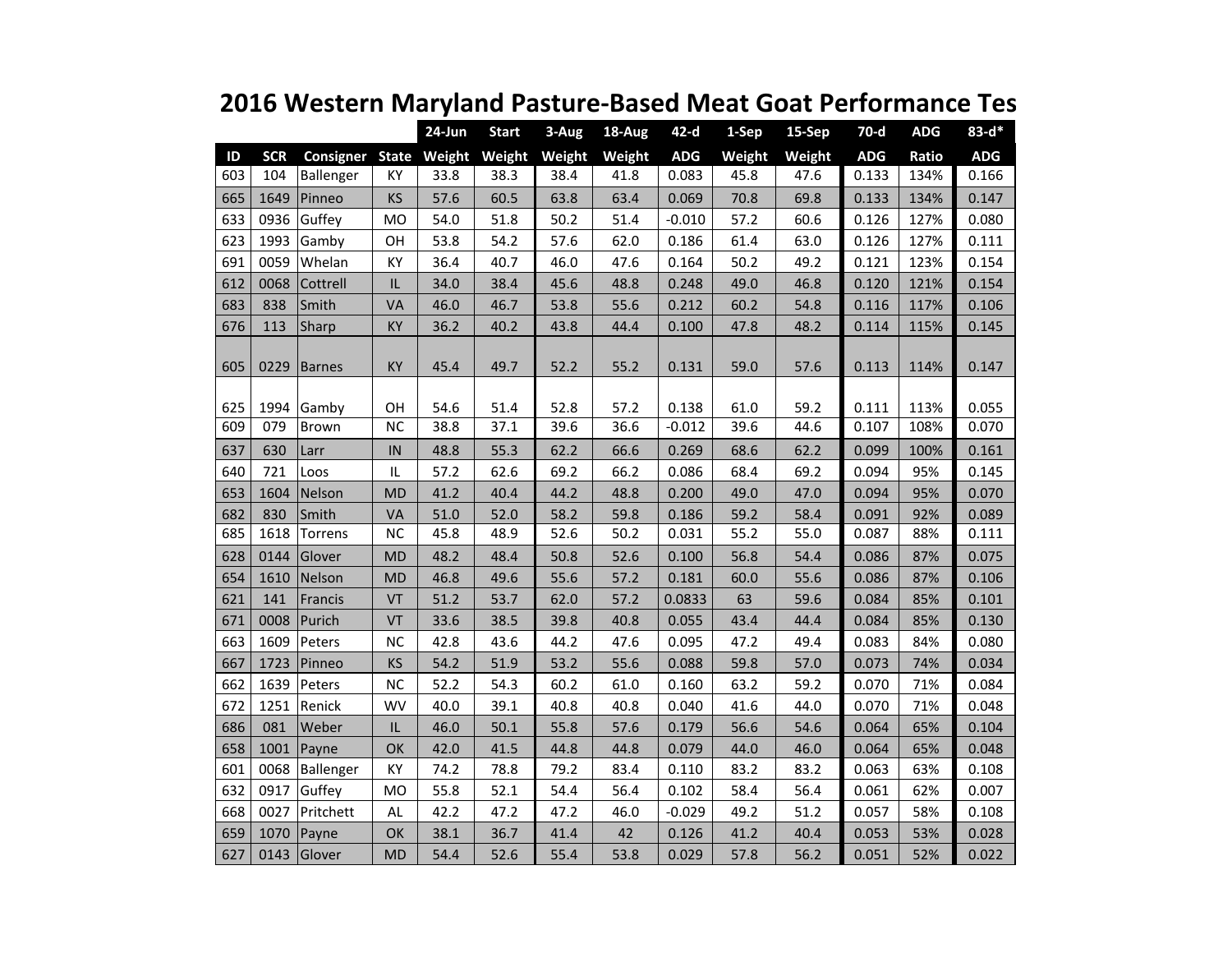|     |            |                               |           | $24$ -Jun | <b>Start</b> | 3-Aug  | 18-Aug | $42-d$     | 1-Sep  | 15-Sep | $70-d$     | <b>ADG</b> | $83 - d*$  |
|-----|------------|-------------------------------|-----------|-----------|--------------|--------|--------|------------|--------|--------|------------|------------|------------|
| ID  | <b>SCR</b> | Consigner State Weight Weight |           |           |              | Weight | Weight | <b>ADG</b> | Weight | Weight | <b>ADG</b> | Ratio      | <b>ADG</b> |
| 603 | 104        | Ballenger                     | KY        | 33.8      | 38.3         | 38.4   | 41.8   | 0.083      | 45.8   | 47.6   | 0.133      | 134%       | 0.166      |
| 665 | 1649       | Pinneo                        | <b>KS</b> | 57.6      | 60.5         | 63.8   | 63.4   | 0.069      | 70.8   | 69.8   | 0.133      | 134%       | 0.147      |
| 633 | 0936       | Guffey                        | <b>MO</b> | 54.0      | 51.8         | 50.2   | 51.4   | $-0.010$   | 57.2   | 60.6   | 0.126      | 127%       | 0.080      |
| 623 | 1993       | Gamby                         | OH        | 53.8      | 54.2         | 57.6   | 62.0   | 0.186      | 61.4   | 63.0   | 0.126      | 127%       | 0.111      |
| 691 | 0059       | Whelan                        | KY        | 36.4      | 40.7         | 46.0   | 47.6   | 0.164      | 50.2   | 49.2   | 0.121      | 123%       | 0.154      |
| 612 | 0068       | Cottrell                      | IL        | 34.0      | 38.4         | 45.6   | 48.8   | 0.248      | 49.0   | 46.8   | 0.120      | 121%       | 0.154      |
| 683 | 838        | Smith                         | VA        | 46.0      | 46.7         | 53.8   | 55.6   | 0.212      | 60.2   | 54.8   | 0.116      | 117%       | 0.106      |
| 676 | 113        | Sharp                         | <b>KY</b> | 36.2      | 40.2         | 43.8   | 44.4   | 0.100      | 47.8   | 48.2   | 0.114      | 115%       | 0.145      |
|     |            |                               |           |           |              |        |        |            |        |        |            |            |            |
| 605 | 0229       | Barnes                        | KY        | 45.4      | 49.7         | 52.2   | 55.2   | 0.131      | 59.0   | 57.6   | 0.113      | 114%       | 0.147      |
|     |            |                               |           |           |              |        |        |            |        |        |            |            |            |
| 625 | 1994       | Gamby                         | OH        | 54.6      | 51.4         | 52.8   | 57.2   | 0.138      | 61.0   | 59.2   | 0.111      | 113%       | 0.055      |
| 609 | 079        | <b>Brown</b>                  | NC        | 38.8      | 37.1         | 39.6   | 36.6   | $-0.012$   | 39.6   | 44.6   | 0.107      | 108%       | 0.070      |
| 637 | 630        | Larr                          | IN        | 48.8      | 55.3         | 62.2   | 66.6   | 0.269      | 68.6   | 62.2   | 0.099      | 100%       | 0.161      |
| 640 | 721        | Loos                          | IL        | 57.2      | 62.6         | 69.2   | 66.2   | 0.086      | 68.4   | 69.2   | 0.094      | 95%        | 0.145      |
| 653 | 1604       | Nelson                        | <b>MD</b> | 41.2      | 40.4         | 44.2   | 48.8   | 0.200      | 49.0   | 47.0   | 0.094      | 95%        | 0.070      |
| 682 | 830        | Smith                         | VA        | 51.0      | 52.0         | 58.2   | 59.8   | 0.186      | 59.2   | 58.4   | 0.091      | 92%        | 0.089      |
| 685 | 1618       | Torrens                       | <b>NC</b> | 45.8      | 48.9         | 52.6   | 50.2   | 0.031      | 55.2   | 55.0   | 0.087      | 88%        | 0.111      |
| 628 | 0144       | Glover                        | <b>MD</b> | 48.2      | 48.4         | 50.8   | 52.6   | 0.100      | 56.8   | 54.4   | 0.086      | 87%        | 0.075      |
| 654 | 1610       | Nelson                        | <b>MD</b> | 46.8      | 49.6         | 55.6   | 57.2   | 0.181      | 60.0   | 55.6   | 0.086      | 87%        | 0.106      |
| 621 | 141        | Francis                       | VT        | 51.2      | 53.7         | 62.0   | 57.2   | 0.0833     | 63     | 59.6   | 0.084      | 85%        | 0.101      |
| 671 | 0008       | Purich                        | VT        | 33.6      | 38.5         | 39.8   | 40.8   | 0.055      | 43.4   | 44.4   | 0.084      | 85%        | 0.130      |
| 663 | 1609       | Peters                        | <b>NC</b> | 42.8      | 43.6         | 44.2   | 47.6   | 0.095      | 47.2   | 49.4   | 0.083      | 84%        | 0.080      |
| 667 | 1723       | Pinneo                        | KS        | 54.2      | 51.9         | 53.2   | 55.6   | 0.088      | 59.8   | 57.0   | 0.073      | 74%        | 0.034      |
| 662 | 1639       | Peters                        | <b>NC</b> | 52.2      | 54.3         | 60.2   | 61.0   | 0.160      | 63.2   | 59.2   | 0.070      | 71%        | 0.084      |
| 672 | 1251       | Renick                        | <b>WV</b> | 40.0      | 39.1         | 40.8   | 40.8   | 0.040      | 41.6   | 44.0   | 0.070      | 71%        | 0.048      |
| 686 | 081        | Weber                         | IL        | 46.0      | 50.1         | 55.8   | 57.6   | 0.179      | 56.6   | 54.6   | 0.064      | 65%        | 0.104      |
| 658 | 1001       | Payne                         | OK        | 42.0      | 41.5         | 44.8   | 44.8   | 0.079      | 44.0   | 46.0   | 0.064      | 65%        | 0.048      |
| 601 | 0068       | Ballenger                     | KY        | 74.2      | 78.8         | 79.2   | 83.4   | 0.110      | 83.2   | 83.2   | 0.063      | 63%        | 0.108      |
| 632 | 0917       | Guffey                        | MO        | 55.8      | 52.1         | 54.4   | 56.4   | 0.102      | 58.4   | 56.4   | 0.061      | 62%        | 0.007      |
| 668 | 0027       | Pritchett                     | AL        | 42.2      | 47.2         | 47.2   | 46.0   | $-0.029$   | 49.2   | 51.2   | 0.057      | 58%        | 0.108      |
| 659 | 1070       | Payne                         | OK        | 38.1      | 36.7         | 41.4   | 42     | 0.126      | 41.2   | 40.4   | 0.053      | 53%        | 0.028      |
| 627 | 0143       | Glover                        | <b>MD</b> | 54.4      | 52.6         | 55.4   | 53.8   | 0.029      | 57.8   | 56.2   | 0.051      | 52%        | 0.022      |

## **2016 Western Maryland Pasture-Based Meat Goat Performance Tes**